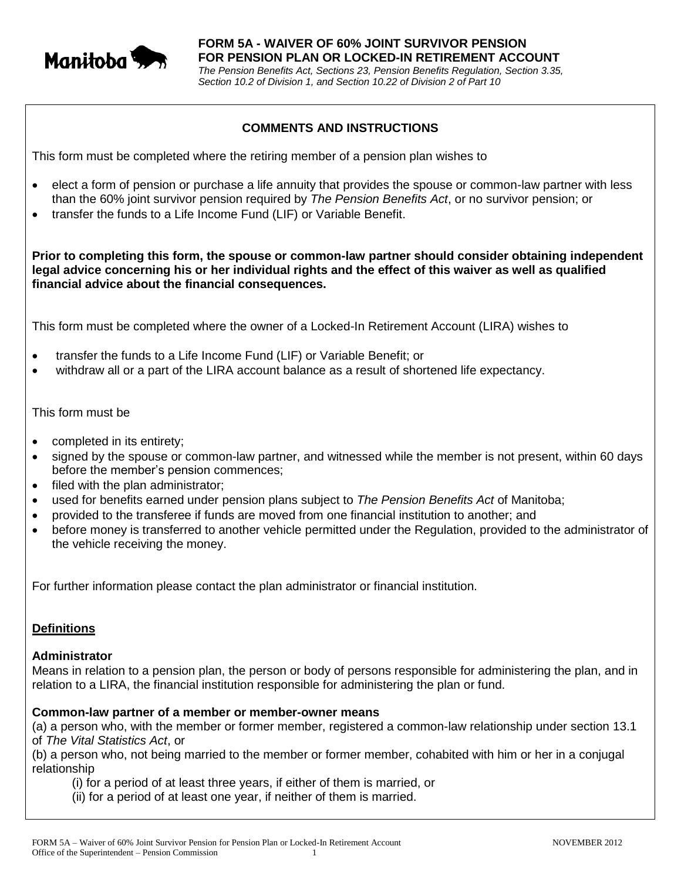

# **COMMENTS AND INSTRUCTIONS**

This form must be completed where the retiring member of a pension plan wishes to

- elect a form of pension or purchase a life annuity that provides the spouse or common-law partner with less than the 60% joint survivor pension required by *The Pension Benefits Act*, or no survivor pension; or
- transfer the funds to a Life Income Fund (LIF) or Variable Benefit.

**Prior to completing this form, the spouse or common-law partner should consider obtaining independent legal advice concerning his or her individual rights and the effect of this waiver as well as qualified financial advice about the financial consequences.**

This form must be completed where the owner of a Locked-In Retirement Account (LIRA) wishes to

- transfer the funds to a Life Income Fund (LIF) or Variable Benefit; or
- withdraw all or a part of the LIRA account balance as a result of shortened life expectancy.

#### This form must be

- completed in its entirety;
- signed by the spouse or common-law partner, and witnessed while the member is not present, within 60 days before the member's pension commences;
- filed with the plan administrator;
- used for benefits earned under pension plans subject to *The Pension Benefits Act* of Manitoba;
- provided to the transferee if funds are moved from one financial institution to another; and
- before money is transferred to another vehicle permitted under the Regulation, provided to the administrator of the vehicle receiving the money.

For further information please contact the plan administrator or financial institution.

# **Definitions**

#### **Administrator**

Means in relation to a pension plan, the person or body of persons responsible for administering the plan, and in relation to a LIRA, the financial institution responsible for administering the plan or fund.

#### **Common-law partner of a member or member-owner means**

(a) a person who, with the member or former member, registered a common-law relationship under section 13.1 of *The Vital Statistics Act*, or

(b) a person who, not being married to the member or former member, cohabited with him or her in a conjugal relationship

- (i) for a period of at least three years, if either of them is married, or
- (ii) for a period of at least one year, if neither of them is married.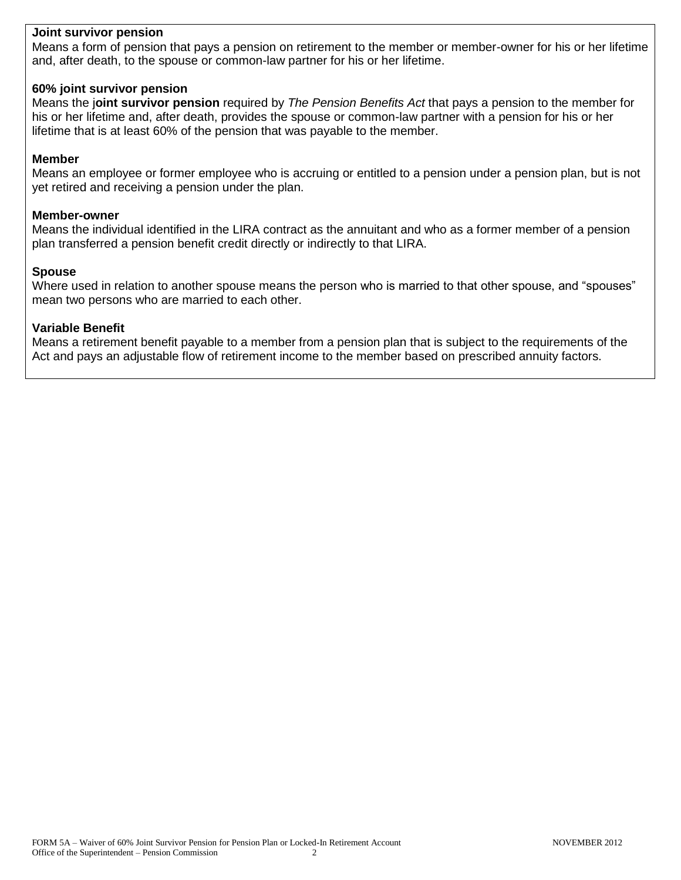## **Joint survivor pension**

Means a form of pension that pays a pension on retirement to the member or member-owner for his or her lifetime and, after death, to the spouse or common-law partner for his or her lifetime.

## **60% joint survivor pension**

Means the j**oint survivor pension** required by *The Pension Benefits Act* that pays a pension to the member for his or her lifetime and, after death, provides the spouse or common-law partner with a pension for his or her lifetime that is at least 60% of the pension that was payable to the member.

## **Member**

Means an employee or former employee who is accruing or entitled to a pension under a pension plan, but is not yet retired and receiving a pension under the plan.

#### **Member-owner**

Means the individual identified in the LIRA contract as the annuitant and who as a former member of a pension plan transferred a pension benefit credit directly or indirectly to that LIRA.

## **Spouse**

Where used in relation to another spouse means the person who is married to that other spouse, and "spouses" mean two persons who are married to each other.

## **Variable Benefit**

Means a retirement benefit payable to a member from a pension plan that is subject to the requirements of the Act and pays an adjustable flow of retirement income to the member based on prescribed annuity factors.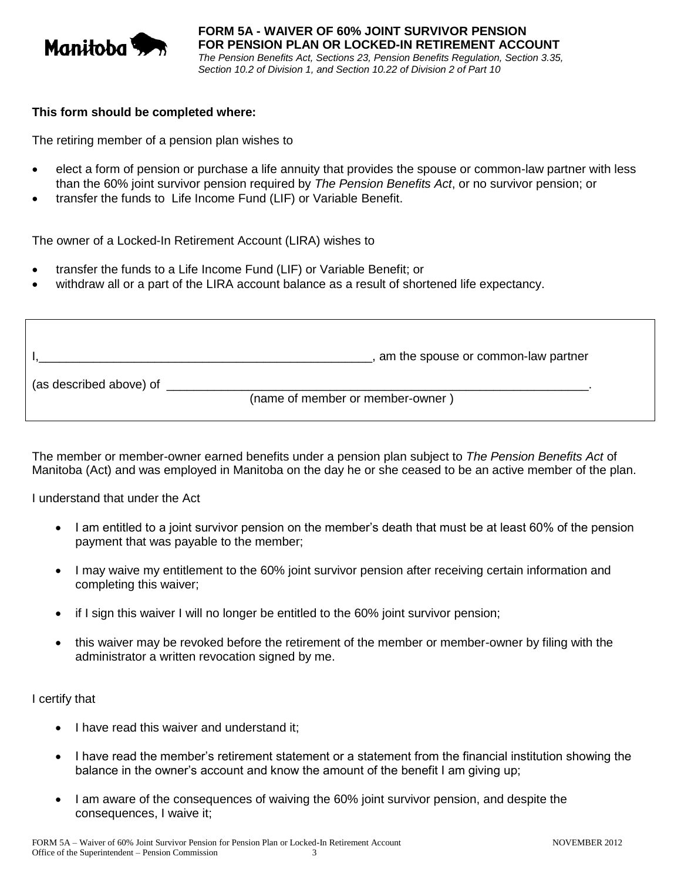

### **This form should be completed where:**

The retiring member of a pension plan wishes to

- elect a form of pension or purchase a life annuity that provides the spouse or common-law partner with less than the 60% joint survivor pension required by *The Pension Benefits Act*, or no survivor pension; or
- transfer the funds to Life Income Fund (LIF) or Variable Benefit.

The owner of a Locked-In Retirement Account (LIRA) wishes to

- transfer the funds to a Life Income Fund (LIF) or Variable Benefit; or
- withdraw all or a part of the LIRA account balance as a result of shortened life expectancy.

|                         | , am the spouse or common-law partner |
|-------------------------|---------------------------------------|
| (as described above) of | (name of member or member-owner)      |

The member or member-owner earned benefits under a pension plan subject to *The Pension Benefits Act* of Manitoba (Act) and was employed in Manitoba on the day he or she ceased to be an active member of the plan.

I understand that under the Act

- I am entitled to a joint survivor pension on the member's death that must be at least 60% of the pension payment that was payable to the member;
- I may waive my entitlement to the 60% joint survivor pension after receiving certain information and completing this waiver;
- if I sign this waiver I will no longer be entitled to the 60% joint survivor pension;
- this waiver may be revoked before the retirement of the member or member-owner by filing with the administrator a written revocation signed by me.

I certify that

- I have read this waiver and understand it;
- I have read the member's retirement statement or a statement from the financial institution showing the balance in the owner's account and know the amount of the benefit I am giving up;
- I am aware of the consequences of waiving the 60% joint survivor pension, and despite the consequences, I waive it;